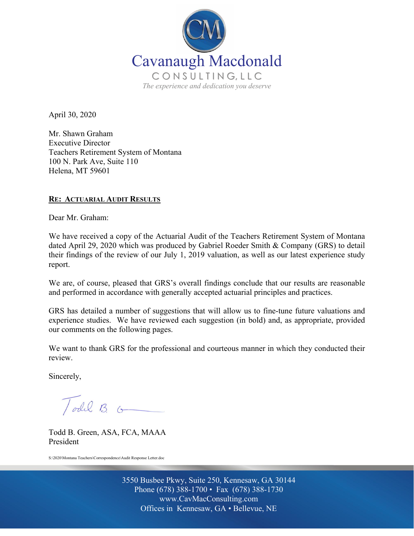

April 30, 2020

Mr. Shawn Graham Executive Director Teachers Retirement System of Montana 100 N. Park Ave, Suite 110 Helena, MT 59601

#### **RE: ACTUARIAL AUDIT RESULTS**

Dear Mr. Graham:

We have received a copy of the Actuarial Audit of the Teachers Retirement System of Montana dated April 29, 2020 which was produced by Gabriel Roeder Smith & Company (GRS) to detail their findings of the review of our July 1, 2019 valuation, as well as our latest experience study report.

We are, of course, pleased that GRS's overall findings conclude that our results are reasonable and performed in accordance with generally accepted actuarial principles and practices.

GRS has detailed a number of suggestions that will allow us to fine-tune future valuations and experience studies. We have reviewed each suggestion (in bold) and, as appropriate, provided our comments on the following pages.

We want to thank GRS for the professional and courteous manner in which they conducted their review.

Sincerely,

Todd B. G

Todd B. Green, ASA, FCA, MAAA President

S:\2020\Montana Teachers\Correspondence\Audit Response Letter.doc

Off Offices in Kennesaw, GA • Bellevue, NE 3550 Busbee Pkwy, Suite 250, Kennesaw, GA 30144 Phone (678) 388-1700 • Fax (678) 388-1730 www.CavMacConsulting.com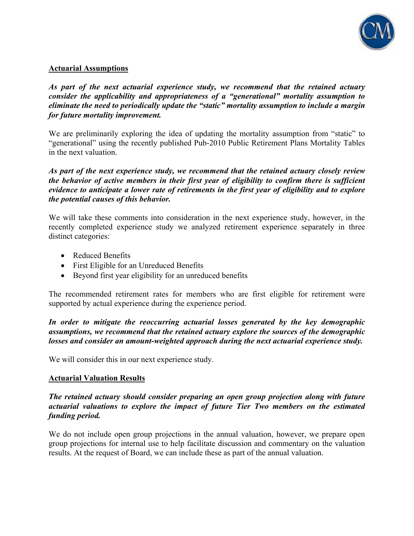

# **Actuarial Assumptions**

*As part of the next actuarial experience study, we recommend that the retained actuary consider the applicability and appropriateness of a "generational" mortality assumption to eliminate the need to periodically update the "static" mortality assumption to include a margin for future mortality improvement.* 

We are preliminarily exploring the idea of updating the mortality assumption from "static" to "generational" using the recently published Pub-2010 Public Retirement Plans Mortality Tables in the next valuation.

*As part of the next experience study, we recommend that the retained actuary closely review the behavior of active members in their first year of eligibility to confirm there is sufficient evidence to anticipate a lower rate of retirements in the first year of eligibility and to explore the potential causes of this behavior.* 

We will take these comments into consideration in the next experience study, however, in the recently completed experience study we analyzed retirement experience separately in three distinct categories:

- Reduced Benefits
- First Eligible for an Unreduced Benefits
- Beyond first year eligibility for an unreduced benefits

The recommended retirement rates for members who are first eligible for retirement were supported by actual experience during the experience period.

*In order to mitigate the reoccurring actuarial losses generated by the key demographic assumptions, we recommend that the retained actuary explore the sources of the demographic losses and consider an amount-weighted approach during the next actuarial experience study.* 

We will consider this in our next experience study.

## **Actuarial Valuation Results**

## *The retained actuary should consider preparing an open group projection along with future actuarial valuations to explore the impact of future Tier Two members on the estimated funding period.*

We do not include open group projections in the annual valuation, however, we prepare open group projections for internal use to help facilitate discussion and commentary on the valuation results. At the request of Board, we can include these as part of the annual valuation.